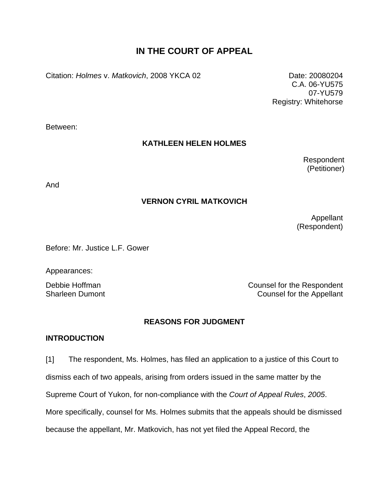# **IN THE COURT OF APPEAL**

Citation: *Holmes* v. *Matkovich*, 2008 YKCA 02 Date: 20080204

C.A. 06-YU575 07-YU579 Registry: Whitehorse

Between:

## **KATHLEEN HELEN HOLMES**

Respondent (Petitioner)

And

# **VERNON CYRIL MATKOVICH**

Appellant (Respondent)

Before: Mr. Justice L.F. Gower

Appearances:

Debbie Hoffman **Counsel for the Respondent** Sharleen Dumont Counsel for the Appellant

### **REASONS FOR JUDGMENT**

### **INTRODUCTION**

[1] The respondent, Ms. Holmes, has filed an application to a justice of this Court to dismiss each of two appeals, arising from orders issued in the same matter by the Supreme Court of Yukon, for non-compliance with the *Court of Appeal Rules*, *2005*. More specifically, counsel for Ms. Holmes submits that the appeals should be dismissed because the appellant, Mr. Matkovich, has not yet filed the Appeal Record, the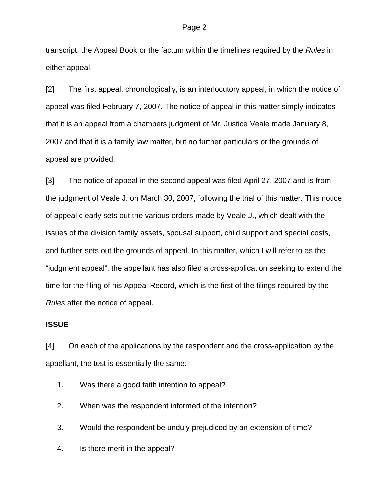transcript, the Appeal Book or the factum within the timelines required by the *Rules* in either appeal.

[2] The first appeal, chronologically, is an interlocutory appeal, in which the notice of appeal was filed February 7, 2007. The notice of appeal in this matter simply indicates that it is an appeal from a chambers judgment of Mr. Justice Veale made January 8, 2007 and that it is a family law matter, but no further particulars or the grounds of appeal are provided.

[3] The notice of appeal in the second appeal was filed April 27, 2007 and is from the judgment of Veale J. on March 30, 2007, following the trial of this matter. This notice of appeal clearly sets out the various orders made by Veale J., which dealt with the issues of the division family assets, spousal support, child support and special costs, and further sets out the grounds of appeal. In this matter, which I will refer to as the "judgment appeal", the appellant has also filed a cross-application seeking to extend the time for the filing of his Appeal Record, which is the first of the filings required by the *Rules* after the notice of appeal.

# **ISSUE**

[4] On each of the applications by the respondent and the cross-application by the appellant, the test is essentially the same:

- 1. Was there a good faith intention to appeal?
- 2. When was the respondent informed of the intention?
- 3. Would the respondent be unduly prejudiced by an extension of time?
- 4. Is there merit in the appeal?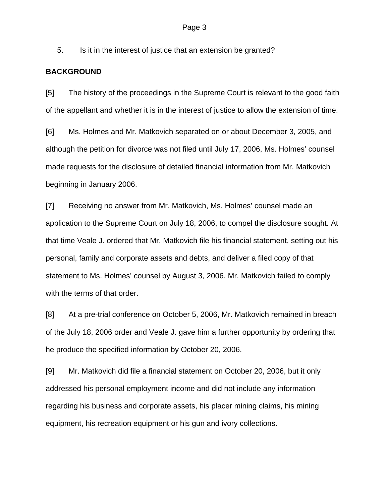5. Is it in the interest of justice that an extension be granted?

#### **BACKGROUND**

[5] The history of the proceedings in the Supreme Court is relevant to the good faith of the appellant and whether it is in the interest of justice to allow the extension of time.

[6] Ms. Holmes and Mr. Matkovich separated on or about December 3, 2005, and although the petition for divorce was not filed until July 17, 2006, Ms. Holmes' counsel made requests for the disclosure of detailed financial information from Mr. Matkovich beginning in January 2006.

[7] Receiving no answer from Mr. Matkovich, Ms. Holmes' counsel made an application to the Supreme Court on July 18, 2006, to compel the disclosure sought. At that time Veale J. ordered that Mr. Matkovich file his financial statement, setting out his personal, family and corporate assets and debts, and deliver a filed copy of that statement to Ms. Holmes' counsel by August 3, 2006. Mr. Matkovich failed to comply with the terms of that order.

[8] At a pre-trial conference on October 5, 2006, Mr. Matkovich remained in breach of the July 18, 2006 order and Veale J. gave him a further opportunity by ordering that he produce the specified information by October 20, 2006.

[9] Mr. Matkovich did file a financial statement on October 20, 2006, but it only addressed his personal employment income and did not include any information regarding his business and corporate assets, his placer mining claims, his mining equipment, his recreation equipment or his gun and ivory collections.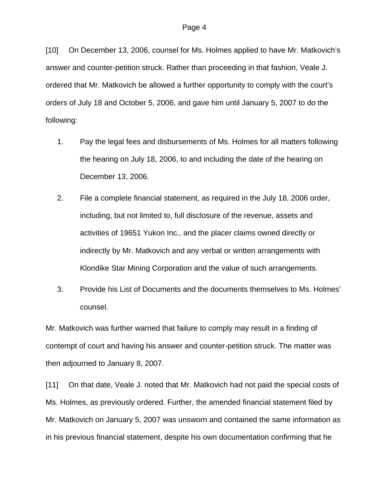[10] On December 13, 2006, counsel for Ms. Holmes applied to have Mr. Matkovich's answer and counter-petition struck. Rather than proceeding in that fashion, Veale J. ordered that Mr. Matkovich be allowed a further opportunity to comply with the court's orders of July 18 and October 5, 2006, and gave him until January 5, 2007 to do the following:

- 1. Pay the legal fees and disbursements of Ms. Holmes for all matters following the hearing on July 18, 2006, to and including the date of the hearing on December 13, 2006.
- 2. File a complete financial statement, as required in the July 18, 2006 order, including, but not limited to, full disclosure of the revenue, assets and activities of 19651 Yukon Inc., and the placer claims owned directly or indirectly by Mr. Matkovich and any verbal or written arrangements with Klondike Star Mining Corporation and the value of such arrangements.
- 3. Provide his List of Documents and the documents themselves to Ms. Holmes' counsel.

Mr. Matkovich was further warned that failure to comply may result in a finding of contempt of court and having his answer and counter-petition struck. The matter was then adjourned to January 8, 2007.

[11] On that date, Veale J. noted that Mr. Matkovich had not paid the special costs of Ms. Holmes, as previously ordered. Further, the amended financial statement filed by Mr. Matkovich on January 5, 2007 was unsworn and contained the same information as in his previous financial statement, despite his own documentation confirming that he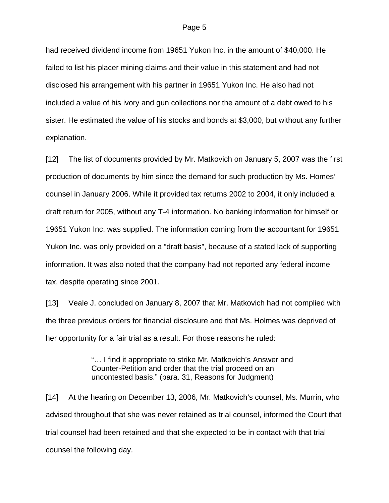had received dividend income from 19651 Yukon Inc. in the amount of \$40,000. He failed to list his placer mining claims and their value in this statement and had not disclosed his arrangement with his partner in 19651 Yukon Inc. He also had not included a value of his ivory and gun collections nor the amount of a debt owed to his sister. He estimated the value of his stocks and bonds at \$3,000, but without any further explanation.

[12] The list of documents provided by Mr. Matkovich on January 5, 2007 was the first production of documents by him since the demand for such production by Ms. Homes' counsel in January 2006. While it provided tax returns 2002 to 2004, it only included a draft return for 2005, without any T-4 information. No banking information for himself or 19651 Yukon Inc. was supplied. The information coming from the accountant for 19651 Yukon Inc. was only provided on a "draft basis", because of a stated lack of supporting information. It was also noted that the company had not reported any federal income tax, despite operating since 2001.

[13] Veale J. concluded on January 8, 2007 that Mr. Matkovich had not complied with the three previous orders for financial disclosure and that Ms. Holmes was deprived of her opportunity for a fair trial as a result. For those reasons he ruled:

> "… I find it appropriate to strike Mr. Matkovich's Answer and Counter-Petition and order that the trial proceed on an uncontested basis." (para. 31, Reasons for Judgment)

[14] At the hearing on December 13, 2006, Mr. Matkovich's counsel, Ms. Murrin, who advised throughout that she was never retained as trial counsel, informed the Court that trial counsel had been retained and that she expected to be in contact with that trial counsel the following day.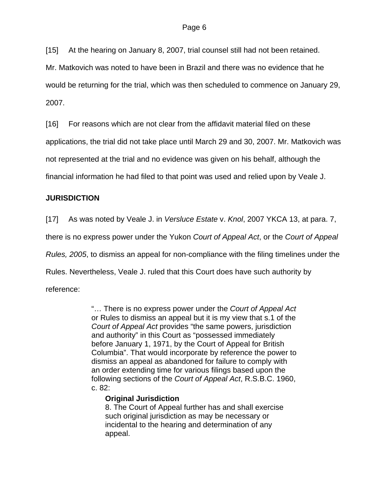[15] At the hearing on January 8, 2007, trial counsel still had not been retained.

Mr. Matkovich was noted to have been in Brazil and there was no evidence that he would be returning for the trial, which was then scheduled to commence on January 29, 2007.

[16] For reasons which are not clear from the affidavit material filed on these

applications, the trial did not take place until March 29 and 30, 2007. Mr. Matkovich was

not represented at the trial and no evidence was given on his behalf, although the

financial information he had filed to that point was used and relied upon by Veale J.

# **JURISDICTION**

[17] As was noted by Veale J. in *Versluce Estate* v. *Knol*, 2007 YKCA 13, at para. 7,

there is no express power under the Yukon *Court of Appeal Act*, or the *Court of Appeal* 

*Rules, 2005*, to dismiss an appeal for non-compliance with the filing timelines under the

Rules. Nevertheless, Veale J. ruled that this Court does have such authority by

reference:

"… There is no express power under the *Court of Appeal Act* or Rules to dismiss an appeal but it is my view that s.1 of the *Court of Appeal Act* provides "the same powers, jurisdiction and authority" in this Court as "possessed immediately before January 1, 1971, by the Court of Appeal for British Columbia". That would incorporate by reference the power to dismiss an appeal as abandoned for failure to comply with an order extending time for various filings based upon the following sections of the *Court of Appeal Act*, R.S.B.C. 1960, c. 82:

# **Original Jurisdiction**

8. The Court of Appeal further has and shall exercise such original jurisdiction as may be necessary or incidental to the hearing and determination of any appeal.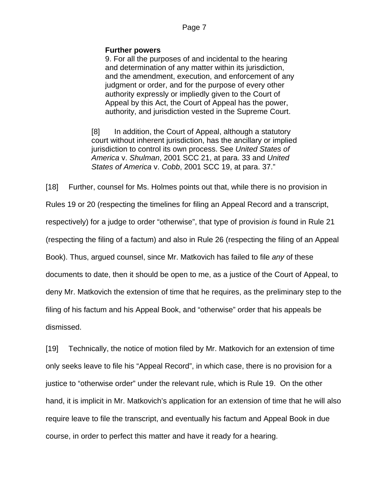### **Further powers**

9. For all the purposes of and incidental to the hearing and determination of any matter within its jurisdiction, and the amendment, execution, and enforcement of any judgment or order, and for the purpose of every other authority expressly or impliedly given to the Court of Appeal by this Act, the Court of Appeal has the power, authority, and jurisdiction vested in the Supreme Court.

[8] In addition, the Court of Appeal, although a statutory court without inherent jurisdiction, has the ancillary or implied jurisdiction to control its own process. See *United States of America* v. *Shulman*, 2001 SCC 21, at para. 33 and *United States of America* v. *Cobb*, 2001 SCC 19, at para. 37."

[18] Further, counsel for Ms. Holmes points out that, while there is no provision in Rules 19 or 20 (respecting the timelines for filing an Appeal Record and a transcript, respectively) for a judge to order "otherwise", that type of provision *is* found in Rule 21 (respecting the filing of a factum) and also in Rule 26 (respecting the filing of an Appeal Book). Thus, argued counsel, since Mr. Matkovich has failed to file *any* of these documents to date, then it should be open to me, as a justice of the Court of Appeal, to deny Mr. Matkovich the extension of time that he requires, as the preliminary step to the filing of his factum and his Appeal Book, and "otherwise" order that his appeals be dismissed.

[19] Technically, the notice of motion filed by Mr. Matkovich for an extension of time only seeks leave to file his "Appeal Record", in which case, there is no provision for a justice to "otherwise order" under the relevant rule, which is Rule 19. On the other hand, it is implicit in Mr. Matkovich's application for an extension of time that he will also require leave to file the transcript, and eventually his factum and Appeal Book in due course, in order to perfect this matter and have it ready for a hearing.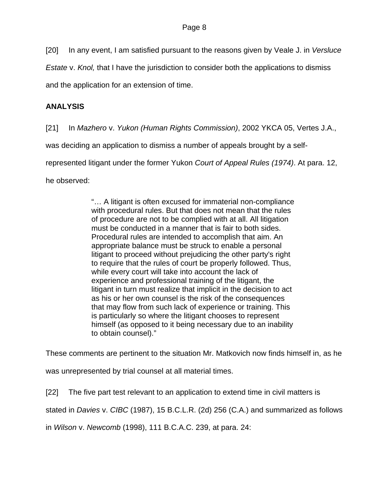[20] In any event, I am satisfied pursuant to the reasons given by Veale J. in *Versluce* 

*Estate* v. *Knol,* that I have the jurisdiction to consider both the applications to dismiss

and the application for an extension of time.

# **ANALYSIS**

[21] In *Mazhero* v. *Yukon (Human Rights Commission)*, 2002 YKCA 05, Vertes J.A.,

was deciding an application to dismiss a number of appeals brought by a self-

represented litigant under the former Yukon *Court of Appeal Rules (1974)*. At para. 12,

he observed:

"… A litigant is often excused for immaterial non-compliance with procedural rules. But that does not mean that the rules of procedure are not to be complied with at all. All litigation must be conducted in a manner that is fair to both sides. Procedural rules are intended to accomplish that aim. An appropriate balance must be struck to enable a personal litigant to proceed without prejudicing the other party's right to require that the rules of court be properly followed. Thus, while every court will take into account the lack of experience and professional training of the litigant, the litigant in turn must realize that implicit in the decision to act as his or her own counsel is the risk of the consequences that may flow from such lack of experience or training. This is particularly so where the litigant chooses to represent himself (as opposed to it being necessary due to an inability to obtain counsel)."

These comments are pertinent to the situation Mr. Matkovich now finds himself in, as he

was unrepresented by trial counsel at all material times.

[22] The five part test relevant to an application to extend time in civil matters is

stated in *Davies* v. *CIBC* (1987), 15 B.C.L.R. (2d) 256 (C.A.) and summarized as follows

in *Wilson* v. *Newcomb* (1998), 111 B.C.A.C. 239, at para. 24: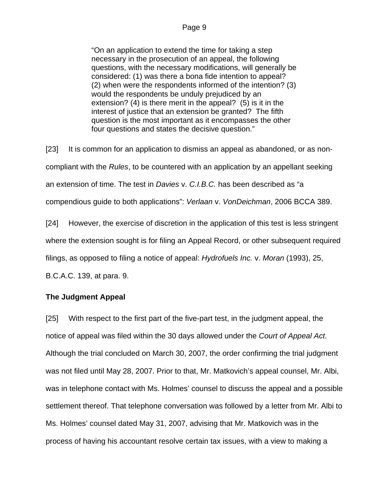"On an application to extend the time for taking a step necessary in the prosecution of an appeal, the following questions, with the necessary modifications, will generally be considered: (1) was there a bona fide intention to appeal? (2) when were the respondents informed of the intention? (3) would the respondents be unduly prejudiced by an extension? (4) is there merit in the appeal? (5) is it in the interest of justice that an extension be granted? The fifth question is the most important as it encompasses the other four questions and states the decisive question."

[23] It is common for an application to dismiss an appeal as abandoned, or as noncompliant with the *Rules*, to be countered with an application by an appellant seeking an extension of time. The test in *Davies* v. *C.I.B.C.* has been described as "a compendious guide to both applications": *Verlaan* v. *VonDeichman*, 2006 BCCA 389.

[24] However, the exercise of discretion in the application of this test is less stringent where the extension sought is for filing an Appeal Record, or other subsequent required filings, as opposed to filing a notice of appeal: *Hydrofuels Inc.* v. *Moran* (1993), 25, B.C.A.C. 139, at para. 9.

# **The Judgment Appeal**

[25] With respect to the first part of the five-part test, in the judgment appeal, the notice of appeal was filed within the 30 days allowed under the *Court of Appeal Act*. Although the trial concluded on March 30, 2007, the order confirming the trial judgment was not filed until May 28, 2007. Prior to that, Mr. Matkovich's appeal counsel, Mr. Albi, was in telephone contact with Ms. Holmes' counsel to discuss the appeal and a possible settlement thereof. That telephone conversation was followed by a letter from Mr. Albi to Ms. Holmes' counsel dated May 31, 2007, advising that Mr. Matkovich was in the process of having his accountant resolve certain tax issues, with a view to making a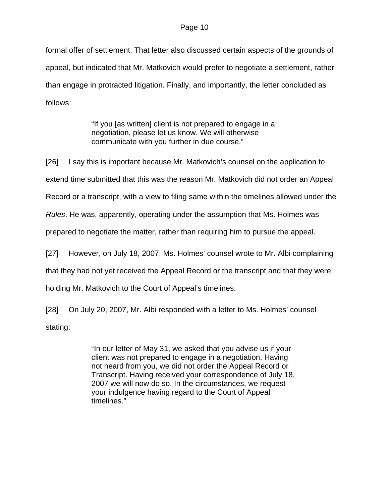formal offer of settlement. That letter also discussed certain aspects of the grounds of appeal, but indicated that Mr. Matkovich would prefer to negotiate a settlement, rather than engage in protracted litigation. Finally, and importantly, the letter concluded as follows:

> "If you [as written] client is not prepared to engage in a negotiation, please let us know. We will otherwise communicate with you further in due course."

[26] I say this is important because Mr. Matkovich's counsel on the application to extend time submitted that this was the reason Mr. Matkovich did not order an Appeal Record or a transcript, with a view to filing same within the timelines allowed under the *Rules*. He was, apparently, operating under the assumption that Ms. Holmes was prepared to negotiate the matter, rather than requiring him to pursue the appeal. [27] However, on July 18, 2007, Ms. Holmes' counsel wrote to Mr. Albi complaining

that they had not yet received the Appeal Record or the transcript and that they were

holding Mr. Matkovich to the Court of Appeal's timelines.

[28] On July 20, 2007, Mr. Albi responded with a letter to Ms. Holmes' counsel stating:

> "In our letter of May 31, we asked that you advise us if your client was not prepared to engage in a negotiation. Having not heard from you, we did not order the Appeal Record or Transcript. Having received your correspondence of July 18, 2007 we will now do so. In the circumstances, we request your indulgence having regard to the Court of Appeal timelines."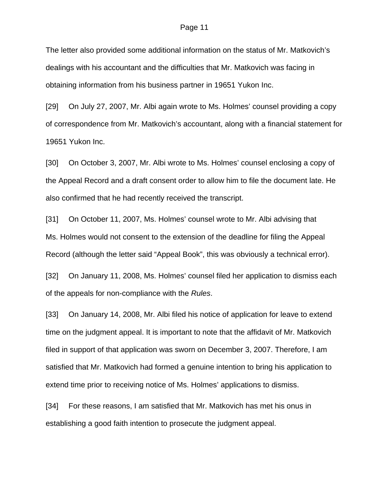The letter also provided some additional information on the status of Mr. Matkovich's dealings with his accountant and the difficulties that Mr. Matkovich was facing in obtaining information from his business partner in 19651 Yukon Inc.

[29] On July 27, 2007, Mr. Albi again wrote to Ms. Holmes' counsel providing a copy of correspondence from Mr. Matkovich's accountant, along with a financial statement for 19651 Yukon Inc.

[30] On October 3, 2007, Mr. Albi wrote to Ms. Holmes' counsel enclosing a copy of the Appeal Record and a draft consent order to allow him to file the document late. He also confirmed that he had recently received the transcript.

[31] On October 11, 2007, Ms. Holmes' counsel wrote to Mr. Albi advising that Ms. Holmes would not consent to the extension of the deadline for filing the Appeal Record (although the letter said "Appeal Book", this was obviously a technical error).

[32] On January 11, 2008, Ms. Holmes' counsel filed her application to dismiss each of the appeals for non-compliance with the *Rules*.

[33] On January 14, 2008, Mr. Albi filed his notice of application for leave to extend time on the judgment appeal. It is important to note that the affidavit of Mr. Matkovich filed in support of that application was sworn on December 3, 2007. Therefore, I am satisfied that Mr. Matkovich had formed a genuine intention to bring his application to extend time prior to receiving notice of Ms. Holmes' applications to dismiss.

[34] For these reasons, I am satisfied that Mr. Matkovich has met his onus in establishing a good faith intention to prosecute the judgment appeal.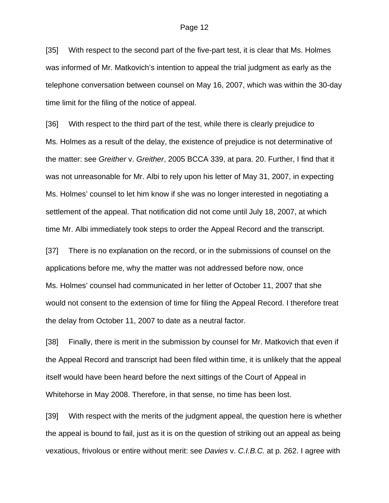[35] With respect to the second part of the five-part test, it is clear that Ms. Holmes was informed of Mr. Matkovich's intention to appeal the trial judgment as early as the telephone conversation between counsel on May 16, 2007, which was within the 30-day time limit for the filing of the notice of appeal.

[36] With respect to the third part of the test, while there is clearly prejudice to Ms. Holmes as a result of the delay, the existence of prejudice is not determinative of the matter: see *Greither* v. *Greither*, 2005 BCCA 339, at para. 20. Further, I find that it was not unreasonable for Mr. Albi to rely upon his letter of May 31, 2007, in expecting Ms. Holmes' counsel to let him know if she was no longer interested in negotiating a settlement of the appeal. That notification did not come until July 18, 2007, at which time Mr. Albi immediately took steps to order the Appeal Record and the transcript.

[37] There is no explanation on the record, or in the submissions of counsel on the applications before me, why the matter was not addressed before now, once Ms. Holmes' counsel had communicated in her letter of October 11, 2007 that she would not consent to the extension of time for filing the Appeal Record. I therefore treat the delay from October 11, 2007 to date as a neutral factor.

[38] Finally, there is merit in the submission by counsel for Mr. Matkovich that even if the Appeal Record and transcript had been filed within time, it is unlikely that the appeal itself would have been heard before the next sittings of the Court of Appeal in Whitehorse in May 2008. Therefore, in that sense, no time has been lost.

[39] With respect with the merits of the judgment appeal, the question here is whether the appeal is bound to fail, just as it is on the question of striking out an appeal as being vexatious, frivolous or entire without merit: see *Davies* v. *C.I.B.C.* at p. 262. I agree with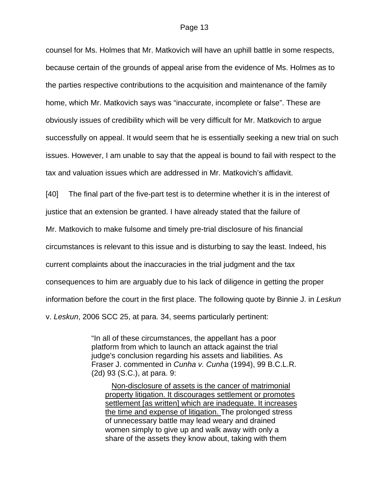counsel for Ms. Holmes that Mr. Matkovich will have an uphill battle in some respects, because certain of the grounds of appeal arise from the evidence of Ms. Holmes as to the parties respective contributions to the acquisition and maintenance of the family home, which Mr. Matkovich says was "inaccurate, incomplete or false". These are obviously issues of credibility which will be very difficult for Mr. Matkovich to argue successfully on appeal. It would seem that he is essentially seeking a new trial on such issues. However, I am unable to say that the appeal is bound to fail with respect to the tax and valuation issues which are addressed in Mr. Matkovich's affidavit.

[40] The final part of the five-part test is to determine whether it is in the interest of

justice that an extension be granted. I have already stated that the failure of

Mr. Matkovich to make fulsome and timely pre-trial disclosure of his financial

circumstances is relevant to this issue and is disturbing to say the least. Indeed, his

current complaints about the inaccuracies in the trial judgment and the tax

consequences to him are arguably due to his lack of diligence in getting the proper

information before the court in the first place. The following quote by Binnie J. in *Leskun* 

v. *Leskun*, 2006 SCC 25, at para. 34, seems particularly pertinent:

"In all of these circumstances, the appellant has a poor platform from which to launch an attack against the trial judge's conclusion regarding his assets and liabilities. As Fraser J. commented in *Cunha v. Cunha* (1994), [99 B.C.L.R.](http://ql.quicklaw.com/servlet/qlwbic.qlwbi?qlsid=C1djkGMTxSRMTEcg&qlcid=00002&qlvrb=QL002&UGET=Q0244750,BCJR)  [\(2d\) 93](http://ql.quicklaw.com/servlet/qlwbic.qlwbi?qlsid=C1djkGMTxSRMTEcg&qlcid=00002&qlvrb=QL002&UGET=Q0244750,BCJR) (S.C.), at para. 9:

 Non-disclosure of assets is the cancer of matrimonial property litigation. It discourages settlement or promotes settlement [as written] which are inadequate. It increases the time and expense of litigation. The prolonged stress of unnecessary battle may lead weary and drained women simply to give up and walk away with only a share of the assets they know about, taking with them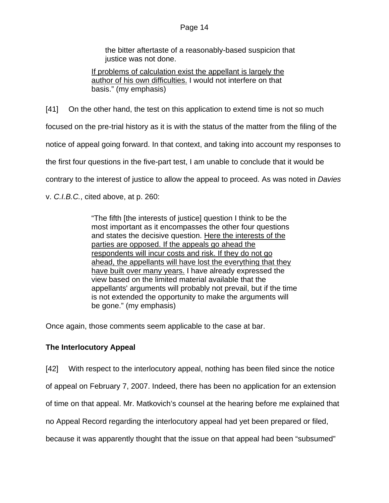the bitter aftertaste of a reasonably-based suspicion that justice was not done.

If problems of calculation exist the appellant is largely the author of his own difficulties. I would not interfere on that basis." (my emphasis)

[41] On the other hand, the test on this application to extend time is not so much

focused on the pre-trial history as it is with the status of the matter from the filing of the

notice of appeal going forward. In that context, and taking into account my responses to

the first four questions in the five-part test, I am unable to conclude that it would be

contrary to the interest of justice to allow the appeal to proceed. As was noted in *Davies* 

v. *C.I.B.C.*, cited above, at p. 260:

"The fifth [the interests of justice] question I think to be the most important as it encompasses the other four questions and states the decisive question. Here the interests of the parties are opposed. If the appeals go ahead the respondents will incur costs and risk. If they do not go ahead, the appellants will have lost the everything that they have built over many years. I have already expressed the view based on the limited material available that the appellants' arguments will probably not prevail, but if the time is not extended the opportunity to make the arguments will be gone." (my emphasis)

Once again, those comments seem applicable to the case at bar.

# **The Interlocutory Appeal**

[42] With respect to the interlocutory appeal, nothing has been filed since the notice

of appeal on February 7, 2007. Indeed, there has been no application for an extension

of time on that appeal. Mr. Matkovich's counsel at the hearing before me explained that

no Appeal Record regarding the interlocutory appeal had yet been prepared or filed,

because it was apparently thought that the issue on that appeal had been "subsumed"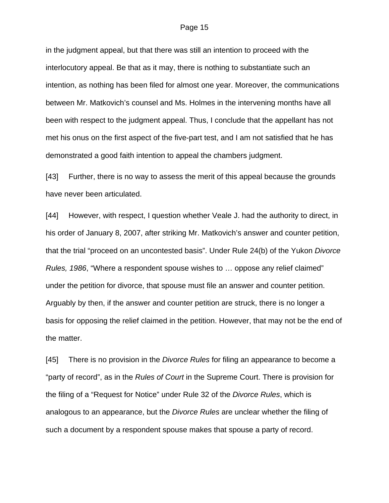in the judgment appeal, but that there was still an intention to proceed with the interlocutory appeal. Be that as it may, there is nothing to substantiate such an intention, as nothing has been filed for almost one year. Moreover, the communications between Mr. Matkovich's counsel and Ms. Holmes in the intervening months have all been with respect to the judgment appeal. Thus, I conclude that the appellant has not met his onus on the first aspect of the five-part test, and I am not satisfied that he has demonstrated a good faith intention to appeal the chambers judgment.

[43] Further, there is no way to assess the merit of this appeal because the grounds have never been articulated.

[44] However, with respect, I question whether Veale J. had the authority to direct, in his order of January 8, 2007, after striking Mr. Matkovich's answer and counter petition, that the trial "proceed on an uncontested basis". Under Rule 24(b) of the Yukon *Divorce Rules, 1986*, "Where a respondent spouse wishes to … oppose any relief claimed" under the petition for divorce, that spouse must file an answer and counter petition. Arguably by then, if the answer and counter petition are struck, there is no longer a basis for opposing the relief claimed in the petition. However, that may not be the end of the matter.

[45] There is no provision in the *Divorce Rules* for filing an appearance to become a "party of record", as in the *Rules of Court* in the Supreme Court. There is provision for the filing of a "Request for Notice" under Rule 32 of the *Divorce Rules*, which is analogous to an appearance, but the *Divorce Rules* are unclear whether the filing of such a document by a respondent spouse makes that spouse a party of record.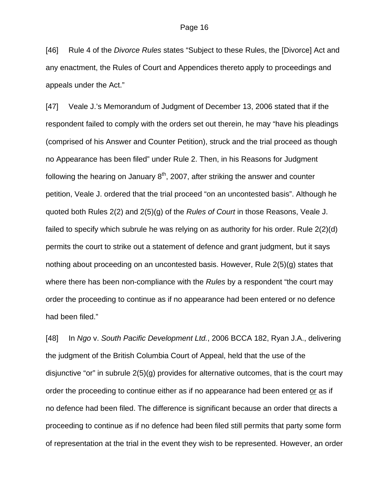[46] Rule 4 of the *Divorce Rules* states "Subject to these Rules, the [Divorce] Act and any enactment, the Rules of Court and Appendices thereto apply to proceedings and appeals under the Act."

[47] Veale J.'s Memorandum of Judgment of December 13, 2006 stated that if the respondent failed to comply with the orders set out therein, he may "have his pleadings (comprised of his Answer and Counter Petition), struck and the trial proceed as though no Appearance has been filed" under Rule 2. Then, in his Reasons for Judgment following the hearing on January  $8<sup>th</sup>$ , 2007, after striking the answer and counter petition, Veale J. ordered that the trial proceed "on an uncontested basis". Although he quoted both Rules 2(2) and 2(5)(g) of the *Rules of Court* in those Reasons, Veale J. failed to specify which subrule he was relying on as authority for his order. Rule 2(2)(d) permits the court to strike out a statement of defence and grant judgment, but it says nothing about proceeding on an uncontested basis. However, Rule 2(5)(g) states that where there has been non-compliance with the *Rules* by a respondent "the court may order the proceeding to continue as if no appearance had been entered or no defence had been filed."

[48] In *Ngo* v. *South Pacific Development Ltd.*, 2006 BCCA 182, Ryan J.A., delivering the judgment of the British Columbia Court of Appeal, held that the use of the disjunctive "or" in subrule 2(5)(g) provides for alternative outcomes, that is the court may order the proceeding to continue either as if no appearance had been entered or as if no defence had been filed. The difference is significant because an order that directs a proceeding to continue as if no defence had been filed still permits that party some form of representation at the trial in the event they wish to be represented. However, an order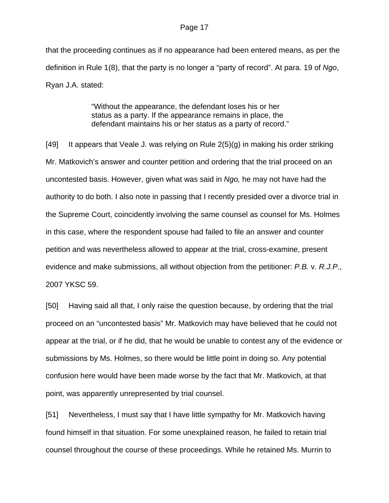that the proceeding continues as if no appearance had been entered means, as per the definition in Rule 1(8), that the party is no longer a "party of record". At para. 19 of *Ngo*, Ryan J.A. stated:

> "Without the appearance, the defendant loses his or her status as a party. If the appearance remains in place, the defendant maintains his or her status as a party of record."

[49] It appears that Veale J. was relying on Rule 2(5)(g) in making his order striking Mr. Matkovich's answer and counter petition and ordering that the trial proceed on an uncontested basis. However, given what was said in *Ngo,* he may not have had the authority to do both. I also note in passing that I recently presided over a divorce trial in the Supreme Court, coincidently involving the same counsel as counsel for Ms. Holmes in this case, where the respondent spouse had failed to file an answer and counter petition and was nevertheless allowed to appear at the trial, cross-examine, present evidence and make submissions, all without objection from the petitioner: *P.B.* v. *R.J.P.*, 2007 YKSC 59.

[50] Having said all that, I only raise the question because, by ordering that the trial proceed on an "uncontested basis" Mr. Matkovich may have believed that he could not appear at the trial, or if he did, that he would be unable to contest any of the evidence or submissions by Ms. Holmes, so there would be little point in doing so. Any potential confusion here would have been made worse by the fact that Mr. Matkovich, at that point, was apparently unrepresented by trial counsel.

[51] Nevertheless, I must say that I have little sympathy for Mr. Matkovich having found himself in that situation. For some unexplained reason, he failed to retain trial counsel throughout the course of these proceedings. While he retained Ms. Murrin to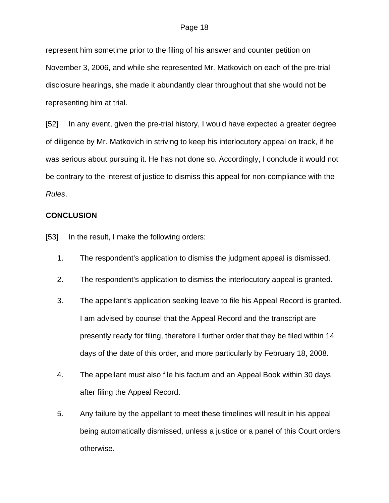represent him sometime prior to the filing of his answer and counter petition on November 3, 2006, and while she represented Mr. Matkovich on each of the pre-trial disclosure hearings, she made it abundantly clear throughout that she would not be representing him at trial.

[52] In any event, given the pre-trial history, I would have expected a greater degree of diligence by Mr. Matkovich in striving to keep his interlocutory appeal on track, if he was serious about pursuing it. He has not done so. Accordingly, I conclude it would not be contrary to the interest of justice to dismiss this appeal for non-compliance with the *Rules*.

#### **CONCLUSION**

[53] In the result, I make the following orders:

- 1. The respondent's application to dismiss the judgment appeal is dismissed.
- 2. The respondent's application to dismiss the interlocutory appeal is granted.
- 3. The appellant's application seeking leave to file his Appeal Record is granted. I am advised by counsel that the Appeal Record and the transcript are presently ready for filing, therefore I further order that they be filed within 14 days of the date of this order, and more particularly by February 18, 2008.
- 4. The appellant must also file his factum and an Appeal Book within 30 days after filing the Appeal Record.
- 5. Any failure by the appellant to meet these timelines will result in his appeal being automatically dismissed, unless a justice or a panel of this Court orders otherwise.